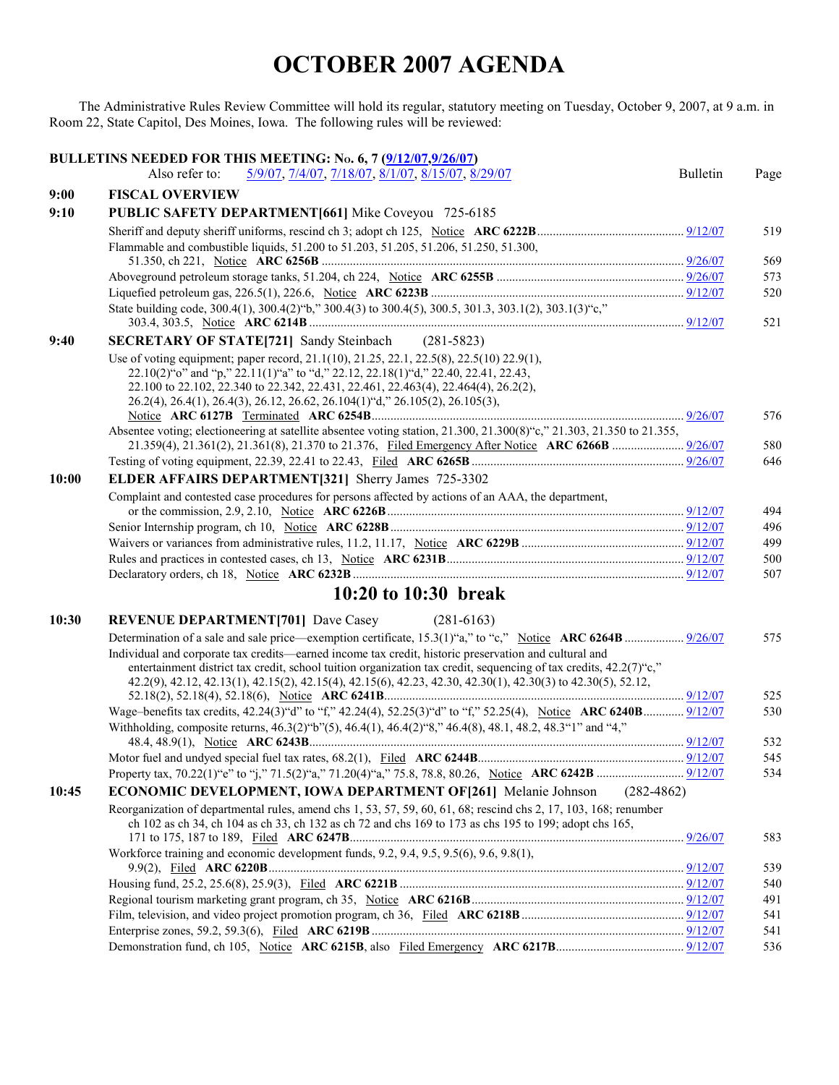## **OCTOBER 2007 AGENDA**

The Administrative Rules Review Committee will hold its regular, statutory meeting on Tuesday, October 9, 2007, at 9 a.m. in Room 22, State Capitol, Des Moines, Iowa. The following rules will be reviewed:

|       | BULLETINS NEEDED FOR THIS MEETING: No. 6, 7 (9/12/07,9/26/07)                                                                                                                                                                                                                                                                                        |                 |            |
|-------|------------------------------------------------------------------------------------------------------------------------------------------------------------------------------------------------------------------------------------------------------------------------------------------------------------------------------------------------------|-----------------|------------|
|       | Also refer to:<br>5/9/07, 7/4/07, 7/18/07, 8/1/07, 8/15/07, 8/29/07                                                                                                                                                                                                                                                                                  | <b>Bulletin</b> | Page       |
| 9:00  | <b>FISCAL OVERVIEW</b>                                                                                                                                                                                                                                                                                                                               |                 |            |
| 9:10  | PUBLIC SAFETY DEPARTMENT [661] Mike Coveyou 725-6185                                                                                                                                                                                                                                                                                                 |                 |            |
|       |                                                                                                                                                                                                                                                                                                                                                      |                 | 519        |
|       | Flammable and combustible liquids, 51.200 to 51.203, 51.205, 51.206, 51.250, 51.300,                                                                                                                                                                                                                                                                 |                 |            |
|       |                                                                                                                                                                                                                                                                                                                                                      |                 | 569        |
|       |                                                                                                                                                                                                                                                                                                                                                      |                 | 573        |
|       |                                                                                                                                                                                                                                                                                                                                                      |                 | 520        |
|       | State building code, 300.4(1), 300.4(2) "b," 300.4(3) to 300.4(5), 300.5, 301.3, 303.1(2), 303.1(3) "c,"                                                                                                                                                                                                                                             |                 | 521        |
| 9:40  | <b>SECRETARY OF STATE[721]</b> Sandy Steinbach (281-5823)                                                                                                                                                                                                                                                                                            |                 |            |
|       | Use of voting equipment; paper record, 21.1(10), 21.25, 22.1, 22.5(8), 22.5(10) 22.9(1),<br>22.10(2)"o" and "p," 22.11(1)"a" to "d," 22.12, 22.18(1)"d," 22.40, 22.41, 22.43,<br>22.100 to 22.102, 22.340 to 22.342, 22.431, 22.461, 22.463(4), 22.464(4), 26.2(2),<br>26.2(4), 26.4(1), 26.4(3), 26.12, 26.62, 26.104(1) "d," 26.105(2), 26.105(3), |                 |            |
|       |                                                                                                                                                                                                                                                                                                                                                      |                 | 576        |
|       | Absentee voting; electioneering at satellite absentee voting station, $21.300$ , $21.300(8)$ "c," $21.303$ , $21.350$ to $21.355$ ,                                                                                                                                                                                                                  |                 |            |
|       |                                                                                                                                                                                                                                                                                                                                                      |                 | 580<br>646 |
|       |                                                                                                                                                                                                                                                                                                                                                      |                 |            |
| 10:00 | ELDER AFFAIRS DEPARTMENT[321] Sherry James 725-3302                                                                                                                                                                                                                                                                                                  |                 |            |
|       | Complaint and contested case procedures for persons affected by actions of an AAA, the department,                                                                                                                                                                                                                                                   |                 | 494        |
|       |                                                                                                                                                                                                                                                                                                                                                      |                 | 496        |
|       |                                                                                                                                                                                                                                                                                                                                                      |                 | 499        |
|       |                                                                                                                                                                                                                                                                                                                                                      |                 | 500        |
|       |                                                                                                                                                                                                                                                                                                                                                      |                 | 507        |
|       | 10:20 to 10:30 break                                                                                                                                                                                                                                                                                                                                 |                 |            |
| 10:30 | <b>REVENUE DEPARTMENT[701]</b> Dave Casey<br>$(281-6163)$                                                                                                                                                                                                                                                                                            |                 |            |
|       |                                                                                                                                                                                                                                                                                                                                                      |                 | 575        |
|       | Individual and corporate tax credits—earned income tax credit, historic preservation and cultural and<br>entertainment district tax credit, school tuition organization tax credit, sequencing of tax credits, $42.2(7)$ "c,"<br>42.2(9), 42.12, 42.13(1), 42.15(2), 42.15(4), 42.15(6), 42.23, 42.30, 42.30(1), 42.30(3) to 42.30(5), 52.12,        |                 | 525        |
|       |                                                                                                                                                                                                                                                                                                                                                      |                 | 530        |
|       | Withholding, composite returns, $46.3(2)^{6}$ ''(5), $46.4(1)$ , $46.4(2)^{6}$ '', $46.4(8)$ , $48.1$ , $48.2$ , $48.3^{6}$ '1" and $4\frac{1}{2}$                                                                                                                                                                                                   |                 |            |
|       |                                                                                                                                                                                                                                                                                                                                                      |                 | 532        |
|       |                                                                                                                                                                                                                                                                                                                                                      |                 | 545        |
|       |                                                                                                                                                                                                                                                                                                                                                      |                 | 534        |
| 10:45 | <b>ECONOMIC DEVELOPMENT, IOWA DEPARTMENT OF [261]</b> Melanie Johnson<br>$(282 - 4862)$                                                                                                                                                                                                                                                              |                 |            |
|       | Reorganization of departmental rules, amend chs 1, 53, 57, 59, 60, 61, 68; rescind chs 2, 17, 103, 168; renumber<br>ch 102 as ch 34, ch 104 as ch 33, ch 132 as ch 72 and chs 169 to 173 as chs 195 to 199; adopt chs 165,                                                                                                                           |                 | 583        |
|       | Workforce training and economic development funds, 9.2, 9.4, 9.5, 9.5(6), 9.6, 9.8(1),                                                                                                                                                                                                                                                               |                 |            |
|       |                                                                                                                                                                                                                                                                                                                                                      |                 | 539        |
|       |                                                                                                                                                                                                                                                                                                                                                      |                 | 540        |
|       |                                                                                                                                                                                                                                                                                                                                                      |                 | 491        |
|       |                                                                                                                                                                                                                                                                                                                                                      |                 | 541        |
|       |                                                                                                                                                                                                                                                                                                                                                      |                 | 541        |
|       |                                                                                                                                                                                                                                                                                                                                                      |                 | 536        |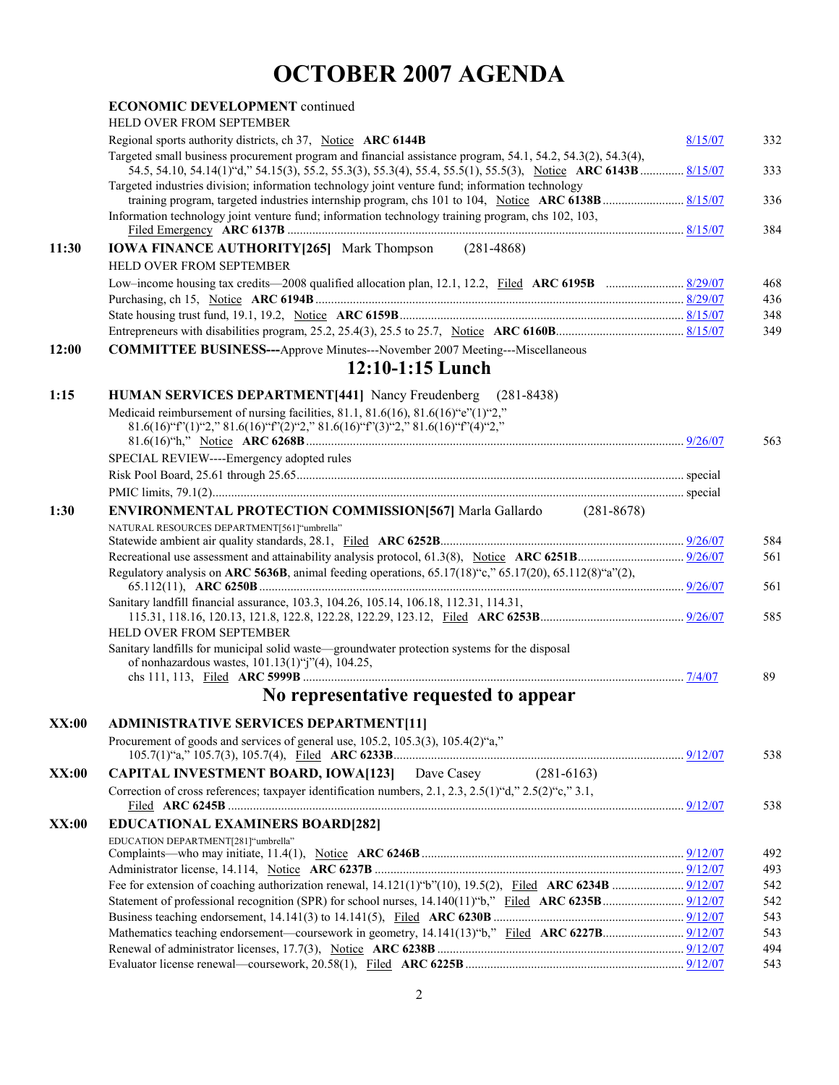## **OCTOBER 2007 AGENDA**

|       | <b>ECONOMIC DEVELOPMENT continued</b>                                                                                                                                                                             |         |            |
|-------|-------------------------------------------------------------------------------------------------------------------------------------------------------------------------------------------------------------------|---------|------------|
|       | <b>HELD OVER FROM SEPTEMBER</b>                                                                                                                                                                                   |         |            |
|       | Regional sports authority districts, ch 37, Notice ARC 6144B<br>Targeted small business procurement program and financial assistance program, 54.1, 54.2, 54.3(2), 54.3(4),                                       | 8/15/07 | 332        |
|       | 54.5, 54.10, 54.14(1) "d," 54.15(3), 55.2, 55.3(3), 55.3(4), 55.4, 55.5(1), 55.5(3), Notice ARC 6143B  8/15/07<br>Targeted industries division; information technology joint venture fund; information technology |         | 333        |
|       |                                                                                                                                                                                                                   |         | 336        |
|       | Information technology joint venture fund; information technology training program, chs 102, 103,                                                                                                                 |         | 384        |
| 11:30 | <b>IOWA FINANCE AUTHORITY[265]</b> Mark Thompson (281-4868)                                                                                                                                                       |         |            |
|       | HELD OVER FROM SEPTEMBER                                                                                                                                                                                          |         |            |
|       |                                                                                                                                                                                                                   |         | 468        |
|       |                                                                                                                                                                                                                   |         | 436<br>348 |
|       |                                                                                                                                                                                                                   |         | 349        |
| 12:00 | <b>COMMITTEE BUSINESS---Approve Minutes---November 2007 Meeting---Miscellaneous</b>                                                                                                                               |         |            |
|       | $12:10-1:15$ Lunch                                                                                                                                                                                                |         |            |
| 1:15  | HUMAN SERVICES DEPARTMENT[441] Nancy Freudenberg (281-8438)                                                                                                                                                       |         |            |
|       | Medicaid reimbursement of nursing facilities, 81.1, 81.6(16), 81.6(16) "e"(1)"2,"                                                                                                                                 |         |            |
|       | $81.6(16)$ "f"(1)"2," $81.6(16)$ "f"(2)"2," $81.6(16)$ "f"(3)"2," $81.6(16)$ "f"(4)"2,"                                                                                                                           |         |            |
|       |                                                                                                                                                                                                                   |         | 563        |
|       | SPECIAL REVIEW----Emergency adopted rules                                                                                                                                                                         |         |            |
|       |                                                                                                                                                                                                                   |         |            |
|       |                                                                                                                                                                                                                   |         |            |
| 1:30  | <b>ENVIRONMENTAL PROTECTION COMMISSION [567]</b> Marla Gallardo (281-8678)                                                                                                                                        |         |            |
|       | NATURAL RESOURCES DEPARTMENT[561]"umbrella"                                                                                                                                                                       |         | 584        |
|       |                                                                                                                                                                                                                   |         | 561        |
|       | Regulatory analysis on ARC 5636B, animal feeding operations, $65.17(18)$ "c," $65.17(20)$ , $65.112(8)$ "a" $(2)$ ,                                                                                               |         | 561        |
|       | Sanitary landfill financial assurance, 103.3, 104.26, 105.14, 106.18, 112.31, 114.31,                                                                                                                             |         |            |
|       | HELD OVER FROM SEPTEMBER                                                                                                                                                                                          |         | 585        |
|       | Sanitary landfills for municipal solid waste—groundwater protection systems for the disposal<br>of nonhazardous wastes, $101.13(1)$ "j"(4), $104.25$ ,                                                            |         |            |
|       |                                                                                                                                                                                                                   |         | 89         |
|       | No representative requested to appear                                                                                                                                                                             |         |            |
| XX:00 | <b>ADMINISTRATIVE SERVICES DEPARTMENT[11]</b>                                                                                                                                                                     |         |            |
|       | Procurement of goods and services of general use, 105.2, 105.3(3), 105.4(2)"a,"                                                                                                                                   |         | 538        |
| XX:00 | <b>CAPITAL INVESTMENT BOARD, IOWA[123]</b> Dave Casey (281-6163)                                                                                                                                                  |         |            |
|       | Correction of cross references; taxpayer identification numbers, 2.1, 2.3, 2.5(1) "d," 2.5(2) "c," 3.1,                                                                                                           |         | 538        |
| XX:00 | <b>EDUCATIONAL EXAMINERS BOARD[282]</b>                                                                                                                                                                           |         |            |
|       | EDUCATION DEPARTMENT[281]"umbrella"                                                                                                                                                                               |         |            |
|       |                                                                                                                                                                                                                   |         | 492<br>493 |
|       |                                                                                                                                                                                                                   |         | 542        |
|       |                                                                                                                                                                                                                   |         | 542        |
|       |                                                                                                                                                                                                                   |         | 543        |
|       |                                                                                                                                                                                                                   |         | 543        |
|       |                                                                                                                                                                                                                   |         | 494        |
|       |                                                                                                                                                                                                                   |         | 543        |